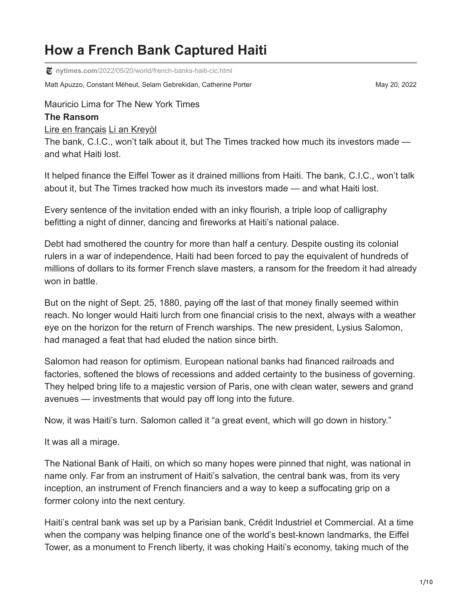# **How a French Bank Captured Haiti**

**nytimes.com**[/2022/05/20/world/french-banks-haiti-cic.html](https://www.nytimes.com/2022/05/20/world/french-banks-haiti-cic.html)

Matt Apuzzo, Constant Méheut, Selam Gebrekidan, Catherine Porter May 20, 2022 May 20, 2022

Mauricio Lima for The New York Times

#### **The Ransom**

[Lire en français](https://www.nytimes.com/fr/2022/05/20/world/europe/haiti-cic-france-dette.html) [Li an Kreyòl](https://www.nytimes.com/ht/2022/05/20/world/ayiti-lafrans-bank-cic.html)

The bank, C.I.C., won't talk about it, but The Times tracked how much its investors made and what Haiti lost.

It helped finance the Eiffel Tower as it drained millions from Haiti. The bank, C.I.C., won't talk about it, but The Times tracked how much its investors made — and what Haiti lost.

Every sentence of the invitation ended with an inky flourish, a triple loop of calligraphy befitting a night of dinner, dancing and fireworks at Haiti's national palace.

Debt had smothered the country for more than half a century. Despite ousting its colonial rulers in a war of independence, Haiti had been forced to pay the equivalent of hundreds of millions of dollars to its former French slave masters, a ransom for the freedom it had already won in battle.

But on the night of Sept. 25, 1880, paying off the last of that money finally seemed within reach. No longer would Haiti lurch from one financial crisis to the next, always with a weather eye on the horizon for the return of French warships. The new president, Lysius Salomon, had managed a feat that had eluded the nation since birth.

Salomon had reason for optimism. European national banks had financed railroads and factories, softened the blows of recessions and added certainty to the business of governing. They helped bring life to a majestic version of Paris, one with clean water, sewers and grand avenues — investments that would pay off long into the future.

Now, it was Haiti's turn. Salomon called it "a great event, which will go down in history."

It was all a mirage.

The National Bank of Haiti, on which so many hopes were pinned that night, was national in name only. Far from an instrument of Haiti's salvation, the central bank was, from its very inception, an instrument of French financiers and a way to keep a suffocating grip on a former colony into the next century.

Haiti's central bank was set up by a Parisian bank, Crédit Industriel et Commercial. At a time when the company was helping finance one of the world's best-known landmarks, the Eiffel Tower, as a monument to French liberty, it was choking Haiti's economy, taking much of the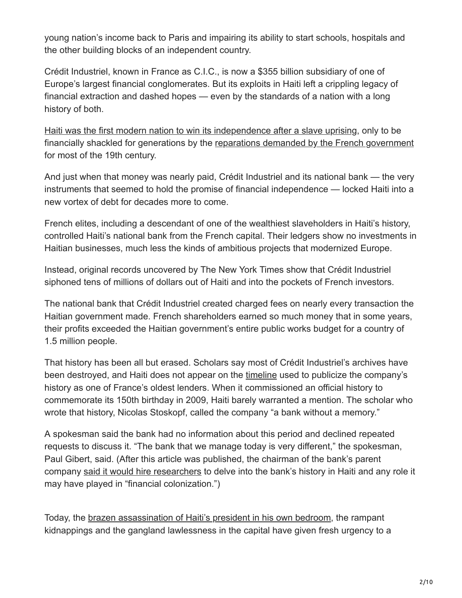young nation's income back to Paris and impairing its ability to start schools, hospitals and the other building blocks of an independent country.

Crédit Industriel, known in France as C.I.C., is now a \$355 billion subsidiary of one of Europe's largest financial conglomerates. But its exploits in Haiti left a crippling legacy of financial extraction and dashed hopes — even by the standards of a nation with a long history of both.

[Haiti was the first modern nation to win its independence after a slave uprising](https://www.nytimes.com/2022/05/20/world/haiti-history-colonized-france.html), only to be financially shackled for generations by the [reparations demanded by the French government](https://www.nytimes.com/2022/05/20/world/haiti-history-colonized-france.html) for most of the 19th century.

And just when that money was nearly paid, Crédit Industriel and its national bank — the very instruments that seemed to hold the promise of financial independence — locked Haiti into a new vortex of debt for decades more to come.

French elites, including a descendant of one of the wealthiest slaveholders in Haiti's history, controlled Haiti's national bank from the French capital. Their ledgers show no investments in Haitian businesses, much less the kinds of ambitious projects that modernized Europe.

Instead, original records uncovered by The New York Times show that Crédit Industriel siphoned tens of millions of dollars out of Haiti and into the pockets of French investors.

The national bank that Crédit Industriel created charged fees on nearly every transaction the Haitian government made. French shareholders earned so much money that in some years, their profits exceeded the Haitian government's entire public works budget for a country of 1.5 million people.

That history has been all but erased. Scholars say most of Crédit Industriel's archives have been destroyed, and Haiti does not appear on the [timeline](https://www.cic.fr/partage/fr/I14/telechargements/rapports-annuels/CIC_annual-report_2020.pdf) used to publicize the company's history as one of France's oldest lenders. When it commissioned an official history to commemorate its 150th birthday in 2009, Haiti barely warranted a mention. The scholar who wrote that history, Nicolas Stoskopf, called the company "a bank without a memory."

A spokesman said the bank had no information about this period and declined repeated requests to discuss it. "The bank that we manage today is very different," the spokesman, Paul Gibert, said. (After this article was published, the chairman of the bank's parent company [said it would hire researchers](https://www.nytimes.com/live/2022/05/23/world/haiti-france-ransom) to delve into the bank's history in Haiti and any role it may have played in "financial colonization.")

Today, the [brazen assassination of Haiti's president in his own bedroom,](https://www.nytimes.com/2021/07/07/world/americas/haiti-president-assassinated-killed.html) the rampant kidnappings and the gangland lawlessness in the capital have given fresh urgency to a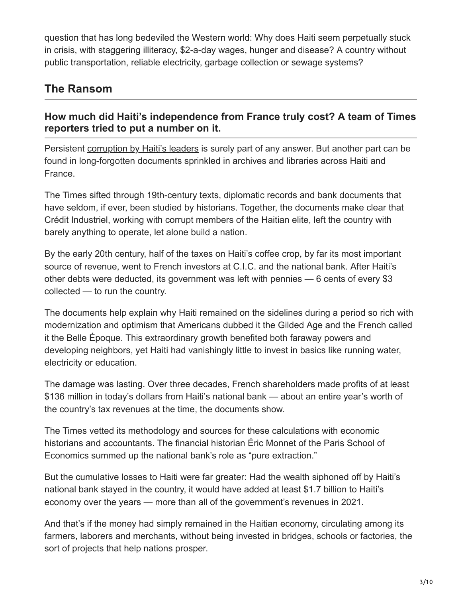question that has long bedeviled the Western world: Why does Haiti seem perpetually stuck in crisis, with staggering illiteracy, \$2-a-day wages, hunger and disease? A country without public transportation, reliable electricity, garbage collection or sewage systems?

# **The Ransom**

# **How much did Haiti's independence from France truly cost? A team of Times reporters tried to put a number on it.**

Persistent [corruption by Haiti's leaders](https://www.nytimes.com/2021/07/10/world/canada/Haiti-Canada-Celestin-corruption.html) is surely part of any answer. But another part can be found in long-forgotten documents sprinkled in archives and libraries across Haiti and France.

The Times sifted through 19th-century texts, diplomatic records and bank documents that have seldom, if ever, been studied by historians. Together, the documents make clear that Crédit Industriel, working with corrupt members of the Haitian elite, left the country with barely anything to operate, let alone build a nation.

By the early 20th century, half of the taxes on Haiti's coffee crop, by far its most important source of revenue, went to French investors at C.I.C. and the national bank. After Haiti's other debts were deducted, its government was left with pennies — 6 cents of every \$3 collected — to run the country.

The documents help explain why Haiti remained on the sidelines during a period so rich with modernization and optimism that Americans dubbed it the Gilded Age and the French called it the Belle Époque. This extraordinary growth benefited both faraway powers and developing neighbors, yet Haiti had vanishingly little to invest in basics like running water, electricity or education.

The damage was lasting. Over three decades, French shareholders made profits of at least \$136 million in today's dollars from Haiti's national bank — about an entire year's worth of the country's tax revenues at the time, the documents show.

The Times vetted its methodology and sources for these calculations with economic historians and accountants. The financial historian Éric Monnet of the Paris School of Economics summed up the national bank's role as "pure extraction."

But the cumulative losses to Haiti were far greater: Had the wealth siphoned off by Haiti's national bank stayed in the country, it would have added at least \$1.7 billion to Haiti's economy over the years — more than all of the government's revenues in 2021.

And that's if the money had simply remained in the Haitian economy, circulating among its farmers, laborers and merchants, without being invested in bridges, schools or factories, the sort of projects that help nations prosper.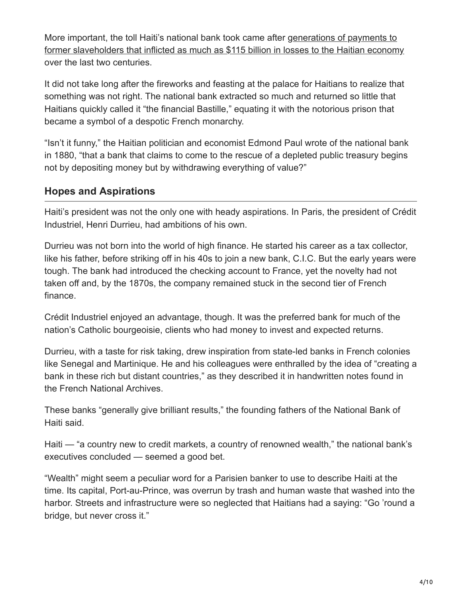More important, the toll Haiti's national bank took came after generations of payments to [former slaveholders that inflicted as much as \\$115 billion in losses to the Haitian economy](https://www.nytimes.com/interactive/2022/05/20/world/americas/enslaved-haiti-debt-timeline.html) over the last two centuries.

It did not take long after the fireworks and feasting at the palace for Haitians to realize that something was not right. The national bank extracted so much and returned so little that Haitians quickly called it "the financial Bastille," equating it with the notorious prison that became a symbol of a despotic French monarchy.

"Isn't it funny," the Haitian politician and economist Edmond Paul wrote of the national bank in 1880, "that a bank that claims to come to the rescue of a depleted public treasury begins not by depositing money but by withdrawing everything of value?"

## **Hopes and Aspirations**

Haiti's president was not the only one with heady aspirations. In Paris, the president of Crédit Industriel, Henri Durrieu, had ambitions of his own.

Durrieu was not born into the world of high finance. He started his career as a tax collector, like his father, before striking off in his 40s to join a new bank, C.I.C. But the early years were tough. The bank had introduced the checking account to France, yet the novelty had not taken off and, by the 1870s, the company remained stuck in the second tier of French finance.

Crédit Industriel enjoyed an advantage, though. It was the preferred bank for much of the nation's Catholic bourgeoisie, clients who had money to invest and expected returns.

Durrieu, with a taste for risk taking, drew inspiration from state-led banks in French colonies like Senegal and Martinique. He and his colleagues were enthralled by the idea of "creating a bank in these rich but distant countries," as they described it in handwritten notes found in the French National Archives.

These banks "generally give brilliant results," the founding fathers of the National Bank of Haiti said.

Haiti — "a country new to credit markets, a country of renowned wealth," the national bank's executives concluded — seemed a good bet.

"Wealth" might seem a peculiar word for a Parisien banker to use to describe Haiti at the time. Its capital, Port-au-Prince, was overrun by trash and human waste that washed into the harbor. Streets and infrastructure were so neglected that Haitians had a saying: "Go 'round a bridge, but never cross it."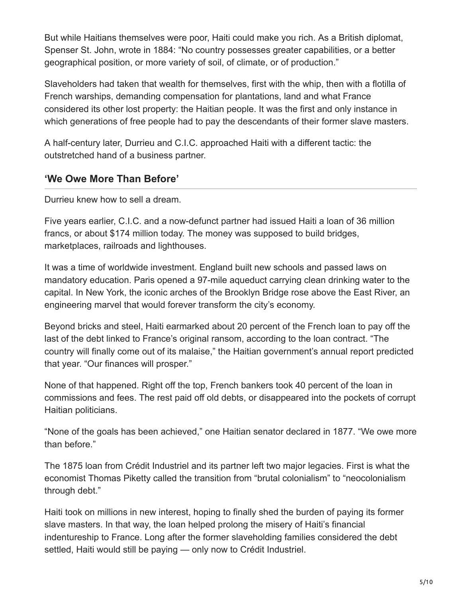But while Haitians themselves were poor, Haiti could make you rich. As a British diplomat, Spenser St. John, wrote in 1884: "No country possesses greater capabilities, or a better geographical position, or more variety of soil, of climate, or of production."

Slaveholders had taken that wealth for themselves, first with the whip, then with a flotilla of French warships, demanding compensation for plantations, land and what France considered its other lost property: the Haitian people. It was the first and only instance in which generations of free people had to pay the descendants of their former slave masters.

A half-century later, Durrieu and C.I.C. approached Haiti with a different tactic: the outstretched hand of a business partner.

#### **'We Owe More Than Before'**

Durrieu knew how to sell a dream.

Five years earlier, C.I.C. and a now-defunct partner had issued Haiti a loan of 36 million francs, or about \$174 million today. The money was supposed to build bridges, marketplaces, railroads and lighthouses.

It was a time of worldwide investment. England built new schools and passed laws on mandatory education. Paris opened a 97-mile aqueduct carrying clean drinking water to the capital. In New York, the iconic arches of the Brooklyn Bridge rose above the East River, an engineering marvel that would forever transform the city's economy.

Beyond bricks and steel, Haiti earmarked about 20 percent of the French loan to pay off the last of the debt linked to France's original ransom, according to the loan contract. "The country will finally come out of its malaise," the Haitian government's annual report predicted that year. "Our finances will prosper."

None of that happened. Right off the top, French bankers took 40 percent of the loan in commissions and fees. The rest paid off old debts, or disappeared into the pockets of corrupt Haitian politicians.

"None of the goals has been achieved," one Haitian senator declared in 1877. "We owe more than before."

The 1875 loan from Crédit Industriel and its partner left two major legacies. First is what the economist Thomas Piketty called the transition from "brutal colonialism" to "neocolonialism through debt."

Haiti took on millions in new interest, hoping to finally shed the burden of paying its former slave masters. In that way, the loan helped prolong the misery of Haiti's financial indentureship to France. Long after the former slaveholding families considered the debt settled, Haiti would still be paying — only now to Crédit Industriel.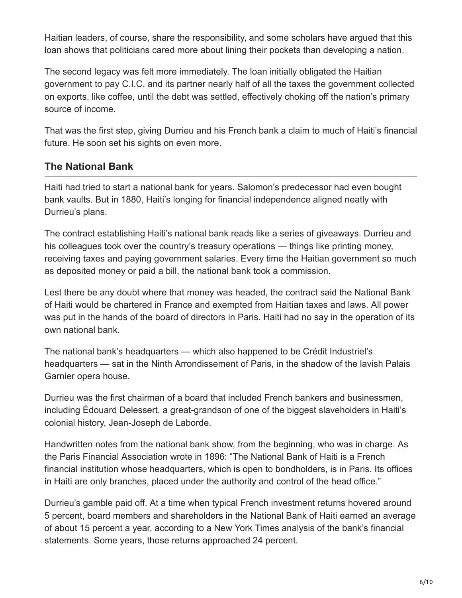Haitian leaders, of course, share the responsibility, and some scholars have argued that this loan shows that politicians cared more about lining their pockets than developing a nation.

The second legacy was felt more immediately. The loan initially obligated the Haitian government to pay C.I.C. and its partner nearly half of all the taxes the government collected on exports, like coffee, until the debt was settled, effectively choking off the nation's primary source of income.

That was the first step, giving Durrieu and his French bank a claim to much of Haiti's financial future. He soon set his sights on even more.

#### **The National Bank**

Haiti had tried to start a national bank for years. Salomon's predecessor had even bought bank vaults. But in 1880, Haiti's longing for financial independence aligned neatly with Durrieu's plans.

The contract establishing Haiti's national bank reads like a series of giveaways. Durrieu and his colleagues took over the country's treasury operations — things like printing money, receiving taxes and paying government salaries. Every time the Haitian government so much as deposited money or paid a bill, the national bank took a commission.

Lest there be any doubt where that money was headed, the contract said the National Bank of Haiti would be chartered in France and exempted from Haitian taxes and laws. All power was put in the hands of the board of directors in Paris. Haiti had no say in the operation of its own national bank.

The national bank's headquarters — which also happened to be Crédit Industriel's headquarters — sat in the Ninth Arrondissement of Paris, in the shadow of the lavish Palais Garnier opera house.

Durrieu was the first chairman of a board that included French bankers and businessmen, including Édouard Delessert, a great-grandson of one of the biggest slaveholders in Haiti's colonial history, Jean-Joseph de Laborde.

Handwritten notes from the national bank show, from the beginning, who was in charge. As the Paris Financial Association wrote in 1896: "The National Bank of Haiti is a French financial institution whose headquarters, which is open to bondholders, is in Paris. Its offices in Haiti are only branches, placed under the authority and control of the head office."

Durrieu's gamble paid off. At a time when typical French investment returns hovered around 5 percent, board members and shareholders in the National Bank of Haiti earned an average of about 15 percent a year, according to a New York Times analysis of the bank's financial statements. Some years, those returns approached 24 percent.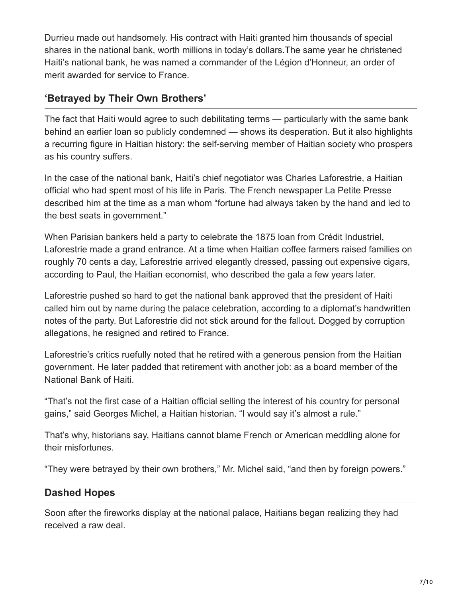Durrieu made out handsomely. His contract with Haiti granted him thousands of special shares in the national bank, worth millions in today's dollars.The same year he christened Haiti's national bank, he was named a commander of the Légion d'Honneur, an order of merit awarded for service to France.

# **'Betrayed by Their Own Brothers'**

The fact that Haiti would agree to such debilitating terms — particularly with the same bank behind an earlier loan so publicly condemned — shows its desperation. But it also highlights a recurring figure in Haitian history: the self-serving member of Haitian society who prospers as his country suffers.

In the case of the national bank, Haiti's chief negotiator was Charles Laforestrie, a Haitian official who had spent most of his life in Paris. The French newspaper La Petite Presse described him at the time as a man whom "fortune had always taken by the hand and led to the best seats in government."

When Parisian bankers held a party to celebrate the 1875 loan from Crédit Industriel, Laforestrie made a grand entrance. At a time when Haitian coffee farmers raised families on roughly 70 cents a day, Laforestrie arrived elegantly dressed, passing out expensive cigars, according to Paul, the Haitian economist, who described the gala a few years later.

Laforestrie pushed so hard to get the national bank approved that the president of Haiti called him out by name during the palace celebration, according to a diplomat's handwritten notes of the party. But Laforestrie did not stick around for the fallout. Dogged by corruption allegations, he resigned and retired to France.

Laforestrie's critics ruefully noted that he retired with a generous pension from the Haitian government. He later padded that retirement with another job: as a board member of the National Bank of Haiti.

"That's not the first case of a Haitian official selling the interest of his country for personal gains," said Georges Michel, a Haitian historian. "I would say it's almost a rule."

That's why, historians say, Haitians cannot blame French or American meddling alone for their misfortunes.

"They were betrayed by their own brothers," Mr. Michel said, "and then by foreign powers."

## **Dashed Hopes**

Soon after the fireworks display at the national palace, Haitians began realizing they had received a raw deal.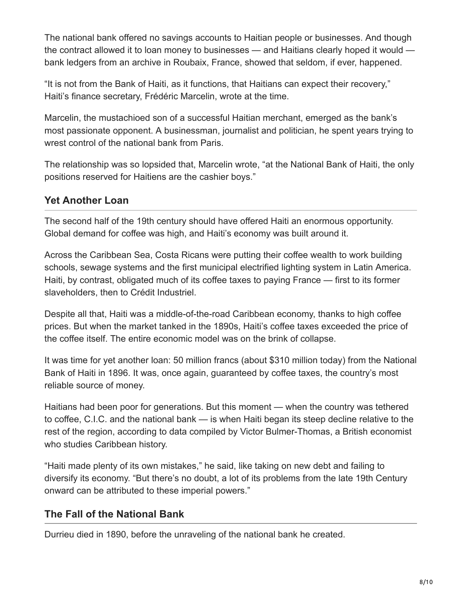The national bank offered no savings accounts to Haitian people or businesses. And though the contract allowed it to loan money to businesses — and Haitians clearly hoped it would bank ledgers from an archive in Roubaix, France, showed that seldom, if ever, happened.

"It is not from the Bank of Haiti, as it functions, that Haitians can expect their recovery," Haiti's finance secretary, Frédéric Marcelin, wrote at the time.

Marcelin, the mustachioed son of a successful Haitian merchant, emerged as the bank's most passionate opponent. A businessman, journalist and politician, he spent years trying to wrest control of the national bank from Paris.

The relationship was so lopsided that, Marcelin wrote, "at the National Bank of Haiti, the only positions reserved for Haitiens are the cashier boys."

# **Yet Another Loan**

The second half of the 19th century should have offered Haiti an enormous opportunity. Global demand for coffee was high, and Haiti's economy was built around it.

Across the Caribbean Sea, Costa Ricans were putting their coffee wealth to work building schools, sewage systems and the first municipal electrified lighting system in Latin America. Haiti, by contrast, obligated much of its coffee taxes to paying France — first to its former slaveholders, then to Crédit Industriel.

Despite all that, Haiti was a middle-of-the-road Caribbean economy, thanks to high coffee prices. But when the market tanked in the 1890s, Haiti's coffee taxes exceeded the price of the coffee itself. The entire economic model was on the brink of collapse.

It was time for yet another loan: 50 million francs (about \$310 million today) from the National Bank of Haiti in 1896. It was, once again, guaranteed by coffee taxes, the country's most reliable source of money.

Haitians had been poor for generations. But this moment — when the country was tethered to coffee, C.I.C. and the national bank — is when Haiti began its steep decline relative to the rest of the region, according to data compiled by Victor Bulmer-Thomas, a British economist who studies Caribbean history.

"Haiti made plenty of its own mistakes," he said, like taking on new debt and failing to diversify its economy. "But there's no doubt, a lot of its problems from the late 19th Century onward can be attributed to these imperial powers."

# **The Fall of the National Bank**

Durrieu died in 1890, before the unraveling of the national bank he created.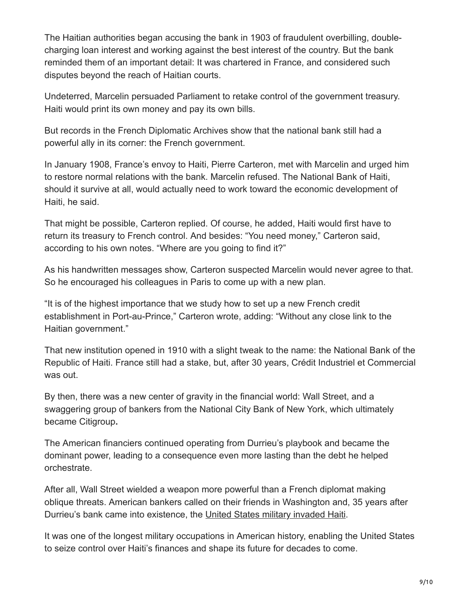The Haitian authorities began accusing the bank in 1903 of fraudulent overbilling, doublecharging loan interest and working against the best interest of the country. But the bank reminded them of an important detail: It was chartered in France, and considered such disputes beyond the reach of Haitian courts.

Undeterred, Marcelin persuaded Parliament to retake control of the government treasury. Haiti would print its own money and pay its own bills.

But records in the French Diplomatic Archives show that the national bank still had a powerful ally in its corner: the French government.

In January 1908, France's envoy to Haiti, Pierre Carteron, met with Marcelin and urged him to restore normal relations with the bank. Marcelin refused. The National Bank of Haiti, should it survive at all, would actually need to work toward the economic development of Haiti, he said.

That might be possible, Carteron replied. Of course, he added, Haiti would first have to return its treasury to French control. And besides: "You need money," Carteron said, according to his own notes. "Where are you going to find it?"

As his handwritten messages show, Carteron suspected Marcelin would never agree to that. So he encouraged his colleagues in Paris to come up with a new plan.

"It is of the highest importance that we study how to set up a new French credit establishment in Port-au-Prince," Carteron wrote, adding: "Without any close link to the Haitian government."

That new institution opened in 1910 with a slight tweak to the name: the National Bank of the Republic of Haiti. France still had a stake, but, after 30 years, Crédit Industriel et Commercial was out.

By then, there was a new center of gravity in the financial world: Wall Street, and a swaggering group of bankers from the National City Bank of New York, which ultimately became Citigroup**.**

The American financiers continued operating from Durrieu's playbook and became the dominant power, leading to a consequence even more lasting than the debt he helped orchestrate.

After all, Wall Street wielded a weapon more powerful than a French diplomat making oblique threats. American bankers called on their friends in Washington and, 35 years after Durrieu's bank came into existence, the [United States military invaded Haiti](https://www.nytimes.com/2022/05/20/world/haiti-wall-street-us-banks.html).

It was one of the longest military occupations in American history, enabling the United States to seize control over Haiti's finances and shape its future for decades to come.